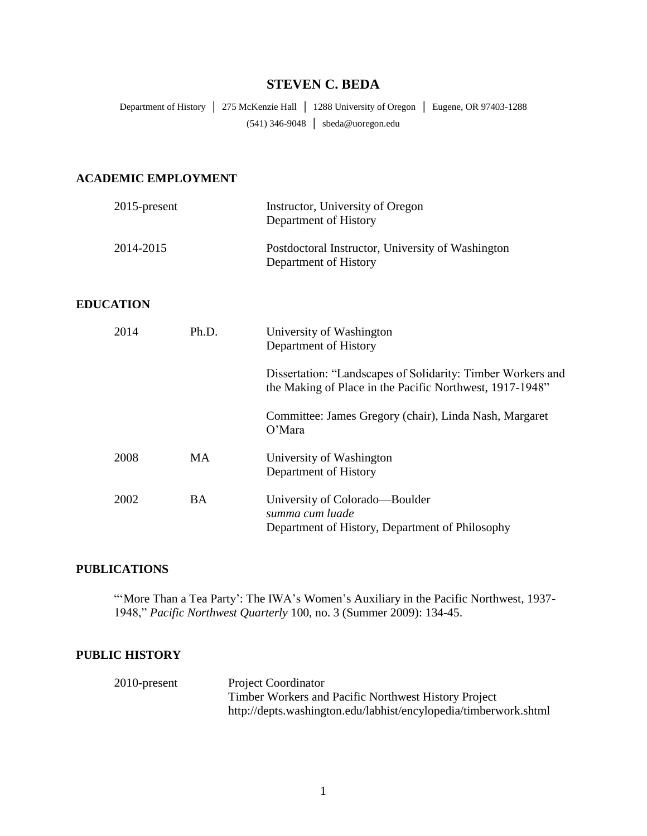# **STEVEN C. BEDA**

Department of History │ 275 McKenzie Hall │ 1288 University of Oregon │ Eugene, OR 97403-1288 (541) 346-9048 │ sbeda@uoregon.edu

## **ACADEMIC EMPLOYMENT**

| $2015$ -present  |           | Instructor, University of Oregon<br>Department of History                                                               |
|------------------|-----------|-------------------------------------------------------------------------------------------------------------------------|
| 2014-2015        |           | Postdoctoral Instructor, University of Washington<br>Department of History                                              |
| <b>EDUCATION</b> |           |                                                                                                                         |
| 2014             | Ph.D.     | University of Washington<br>Department of History                                                                       |
|                  |           | Dissertation: "Landscapes of Solidarity: Timber Workers and<br>the Making of Place in the Pacific Northwest, 1917-1948" |
|                  |           | Committee: James Gregory (chair), Linda Nash, Margaret<br>O'Mara                                                        |
| 2008             | MA        | University of Washington<br>Department of History                                                                       |
| 2002             | <b>BA</b> | University of Colorado—Boulder<br>summa cum luade<br>Department of History, Department of Philosophy                    |

## **PUBLICATIONS**

"'More Than a Tea Party': The IWA's Women's Auxiliary in the Pacific Northwest, 1937-1948," *Pacific Northwest Quarterly* 100, no. 3 (Summer 2009): 134-45.

## **PUBLIC HISTORY**

| $2010$ -present | <b>Project Coordinator</b>                                       |
|-----------------|------------------------------------------------------------------|
|                 | Timber Workers and Pacific Northwest History Project             |
|                 | http://depts.washington.edu/labhist/encylopedia/timberwork.shtml |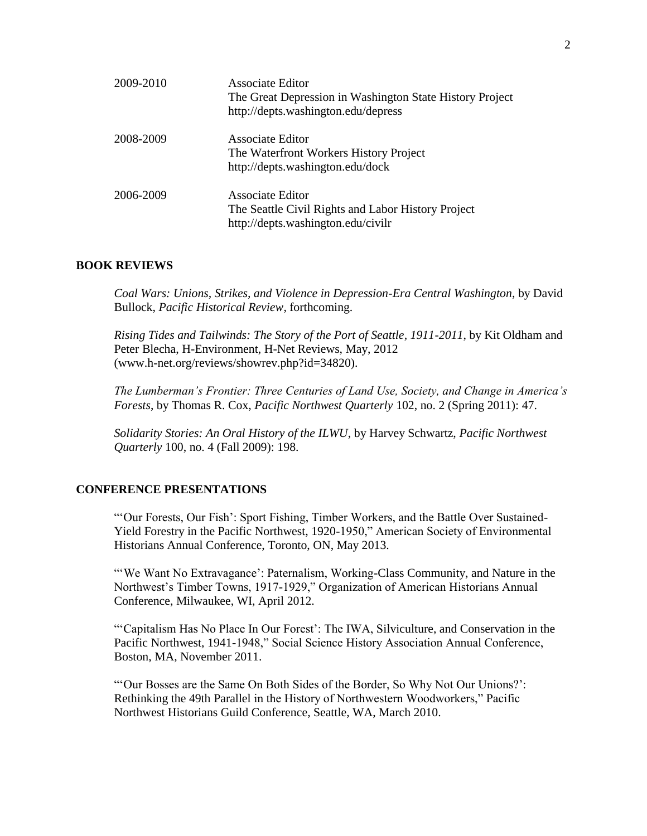| 2009-2010 | <b>Associate Editor</b><br>The Great Depression in Washington State History Project<br>http://depts.washington.edu/depress |
|-----------|----------------------------------------------------------------------------------------------------------------------------|
| 2008-2009 | <b>Associate Editor</b><br>The Waterfront Workers History Project<br>http://depts.washington.edu/dock                      |
| 2006-2009 | Associate Editor<br>The Seattle Civil Rights and Labor History Project<br>http://depts.washington.edu/civilr               |

#### **BOOK REVIEWS**

*Coal Wars: Unions, Strikes, and Violence in Depression-Era Central Washington*, by David Bullock, *Pacific Historical Review*, forthcoming.

*Rising Tides and Tailwinds: The Story of the Port of Seattle, 1911-2011*, by Kit Oldham and Peter Blecha, H-Environment, H-Net Reviews, May, 2012 (www.h-net.org/reviews/showrev.php?id=34820).

*The Lumberman's Frontier: Three Centuries of Land Use, Society, and Change in America's Forests*, by Thomas R. Cox, *Pacific Northwest Quarterly* 102, no. 2 (Spring 2011): 47.

*Solidarity Stories: An Oral History of the ILWU*, by Harvey Schwartz, *Pacific Northwest Quarterly* 100, no. 4 (Fall 2009): 198.

### **CONFERENCE PRESENTATIONS**

"'Our Forests, Our Fish': Sport Fishing, Timber Workers, and the Battle Over Sustained-Yield Forestry in the Pacific Northwest, 1920-1950," American Society of Environmental Historians Annual Conference, Toronto, ON, May 2013.

"'We Want No Extravagance': Paternalism, Working-Class Community, and Nature in the Northwest's Timber Towns, 1917-1929," Organization of American Historians Annual Conference, Milwaukee, WI, April 2012.

"'Capitalism Has No Place In Our Forest': The IWA, Silviculture, and Conservation in the Pacific Northwest, 1941-1948," Social Science History Association Annual Conference, Boston, MA, November 2011.

"'Our Bosses are the Same On Both Sides of the Border, So Why Not Our Unions?': Rethinking the 49th Parallel in the History of Northwestern Woodworkers," Pacific Northwest Historians Guild Conference, Seattle, WA, March 2010.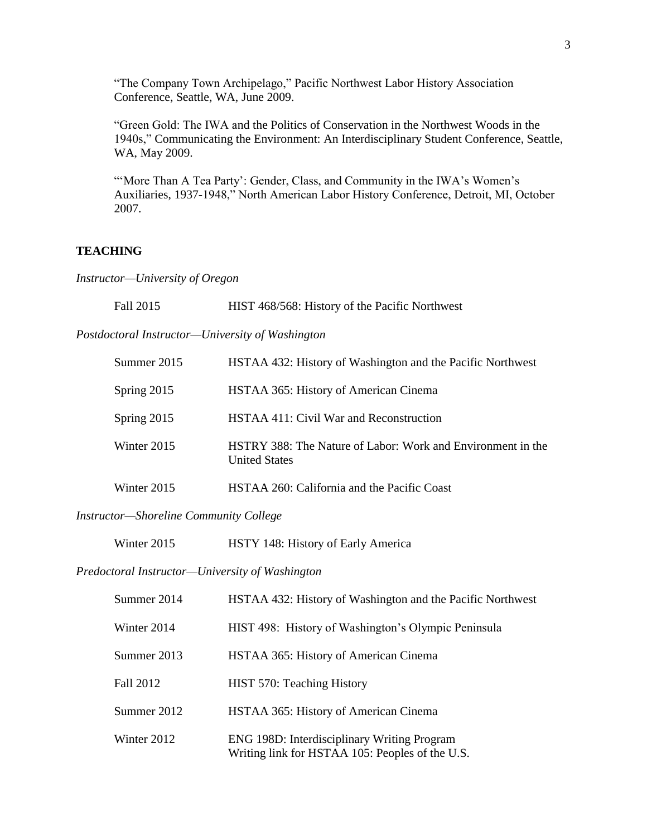"The Company Town Archipelago," Pacific Northwest Labor History Association Conference, Seattle, WA, June 2009.

"Green Gold: The IWA and the Politics of Conservation in the Northwest Woods in the 1940s," Communicating the Environment: An Interdisciplinary Student Conference, Seattle, WA, May 2009.

"'More Than A Tea Party': Gender, Class, and Community in the IWA's Women's Auxiliaries, 1937-1948," North American Labor History Conference, Detroit, MI, October 2007.

## **TEACHING**

*Instructor—University of Oregon*

| Fall 2015                                        | HIST 468/568: History of the Pacific Northwest                                      |
|--------------------------------------------------|-------------------------------------------------------------------------------------|
| Postdoctoral Instructor—University of Washington |                                                                                     |
| Summer 2015                                      | HSTAA 432: History of Washington and the Pacific Northwest                          |
| Spring 2015                                      | HSTAA 365: History of American Cinema                                               |
| Spring 2015                                      | HSTAA 411: Civil War and Reconstruction                                             |
| Winter 2015                                      | HSTRY 388: The Nature of Labor: Work and Environment in the<br><b>United States</b> |
| Winter 2015                                      | HSTAA 260: California and the Pacific Coast                                         |

### *Instructor—Shoreline Community College*

#### *Predoctoral Instructor—University of Washington*

| Summer 2014 | HSTAA 432: History of Washington and the Pacific Northwest                                     |
|-------------|------------------------------------------------------------------------------------------------|
| Winter 2014 | HIST 498: History of Washington's Olympic Peninsula                                            |
| Summer 2013 | HSTAA 365: History of American Cinema                                                          |
| Fall 2012   | HIST 570: Teaching History                                                                     |
| Summer 2012 | HSTAA 365: History of American Cinema                                                          |
| Winter 2012 | ENG 198D: Interdisciplinary Writing Program<br>Writing link for HSTAA 105: Peoples of the U.S. |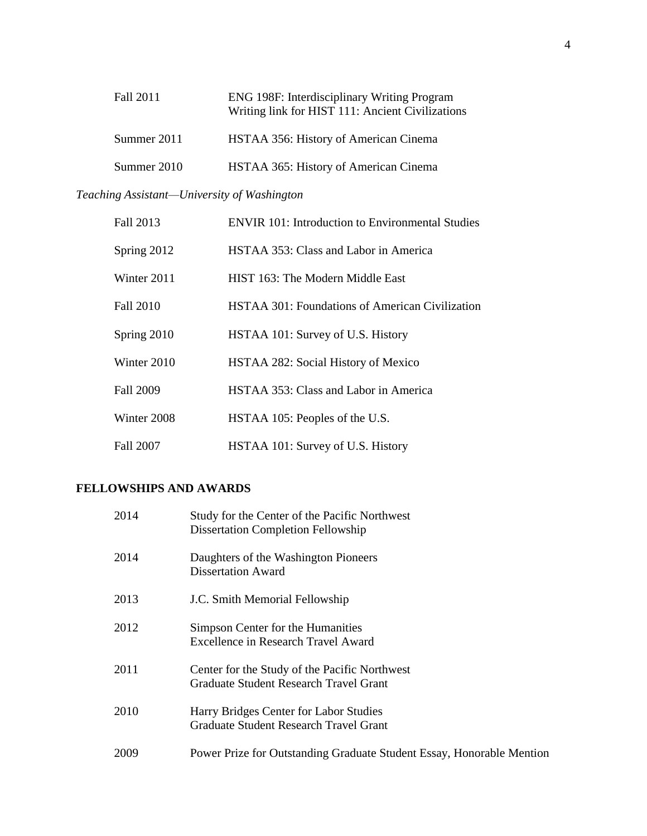| Fall 2011   | ENG 198F: Interdisciplinary Writing Program<br>Writing link for HIST 111: Ancient Civilizations |
|-------------|-------------------------------------------------------------------------------------------------|
| Summer 2011 | HSTAA 356: History of American Cinema                                                           |
| Summer 2010 | HSTAA 365: History of American Cinema                                                           |

# *Teaching Assistant—University of Washington*

| Fall 2013   | <b>ENVIR 101: Introduction to Environmental Studies</b> |
|-------------|---------------------------------------------------------|
| Spring 2012 | HSTAA 353: Class and Labor in America                   |
| Winter 2011 | HIST 163: The Modern Middle East                        |
| Fall 2010   | <b>HSTAA 301: Foundations of American Civilization</b>  |
| Spring 2010 | HSTAA 101: Survey of U.S. History                       |
| Winter 2010 | HSTAA 282: Social History of Mexico                     |
| Fall 2009   | HSTAA 353: Class and Labor in America                   |
| Winter 2008 | HSTAA 105: Peoples of the U.S.                          |
| Fall 2007   | HSTAA 101: Survey of U.S. History                       |

## **FELLOWSHIPS AND AWARDS**

| 2014 | Study for the Center of the Pacific Northwest<br><b>Dissertation Completion Fellowship</b>     |
|------|------------------------------------------------------------------------------------------------|
| 2014 | Daughters of the Washington Pioneers<br><b>Dissertation Award</b>                              |
| 2013 | J.C. Smith Memorial Fellowship                                                                 |
| 2012 | Simpson Center for the Humanities<br>Excellence in Research Travel Award                       |
| 2011 | Center for the Study of the Pacific Northwest<br><b>Graduate Student Research Travel Grant</b> |
| 2010 | Harry Bridges Center for Labor Studies<br><b>Graduate Student Research Travel Grant</b>        |
| 2009 | Power Prize for Outstanding Graduate Student Essay, Honorable Mention                          |